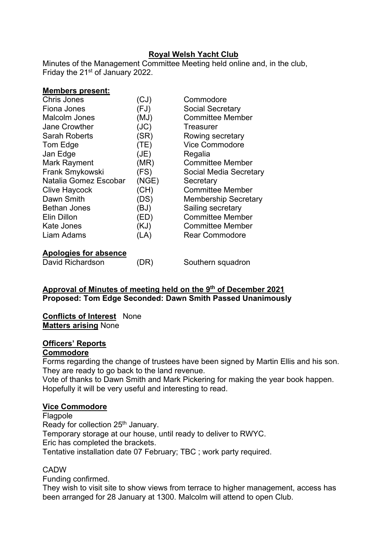## **Royal Welsh Yacht Club**

Minutes of the Management Committee Meeting held online and, in the club, Friday the 21<sup>st</sup> of January 2022.

| <b>Members present:</b> |       |                             |
|-------------------------|-------|-----------------------------|
| <b>Chris Jones</b>      | (CJ)  | Commodore                   |
| Fiona Jones             | (FJ)  | <b>Social Secretary</b>     |
| Malcolm Jones           | (MJ)  | <b>Committee Member</b>     |
| <b>Jane Crowther</b>    | J(C)  | Treasurer                   |
| <b>Sarah Roberts</b>    | (SR)  | Rowing secretary            |
| Tom Edge                | (TE)  | <b>Vice Commodore</b>       |
| Jan Edge                | (JE)  | Regalia                     |
| <b>Mark Rayment</b>     | (MR)  | <b>Committee Member</b>     |
| Frank Smykowski         | (FS)  | Social Media Secretary      |
| Natalia Gomez Escobar   | (NGE) | Secretary                   |
| <b>Clive Haycock</b>    | (CH)  | <b>Committee Member</b>     |
| Dawn Smith              | (DS)  | <b>Membership Secretary</b> |
| <b>Bethan Jones</b>     | (BJ)  | Sailing secretary           |
| Elin Dillon             | (ED)  | <b>Committee Member</b>     |
| Kate Jones              | (KJ)  | <b>Committee Member</b>     |
| Liam Adams              | (LA)  | <b>Rear Commodore</b>       |
| Apologies for absence   |       |                             |
| David Richardson        | DR)   | Southern squadron           |

#### **Approval of Minutes of meeting held on the 9th of December 2021 Proposed: Tom Edge Seconded: Dawn Smith Passed Unanimously**

#### **Conflicts of Interest** None **Matters arising** None

# **Officers' Reports**

## **Commodore**

Forms regarding the change of trustees have been signed by Martin Ellis and his son. They are ready to go back to the land revenue.

Vote of thanks to Dawn Smith and Mark Pickering for making the year book happen. Hopefully it will be very useful and interesting to read.

#### **Vice Commodore**

Flagpole Ready for collection 25<sup>th</sup> January. Temporary storage at our house, until ready to deliver to RWYC. Eric has completed the brackets. Tentative installation date 07 February; TBC ; work party required.

## **CADW**

Funding confirmed.

They wish to visit site to show views from terrace to higher management, access has been arranged for 28 January at 1300. Malcolm will attend to open Club.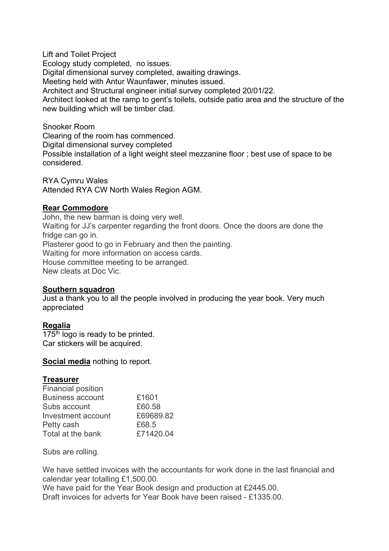Lift and Toilet Project Ecology study completed, no issues. Digital dimensional survey completed, awaiting drawings. Meeting held with Antur Waunfawer, minutes issued. Architect and Structural engineer initial survey completed 20/01/22. Architect looked at the ramp to gent's toilets, outside patio area and the structure of the new building which will be timber clad.

Snooker Room Clearing of the room has commenced. Digital dimensional survey completed Possible installation of a light weight steel mezzanine floor ; best use of space to be considered.

RYA Cymru Wales Attended RYA CW North Wales Region AGM.

#### **Rear Commodore**

John, the new barman is doing very well. Waiting for JJ's carpenter regarding the front doors. Once the doors are done the fridge can go in. Plasterer good to go in February and then the painting. Waiting for more information on access cards. House committee meeting to be arranged. New cleats at Doc Vic.

#### **Southern squadron**

Just a thank you to all the people involved in producing the year book. Very much appreciated

#### **Regalia**

 $175<sup>th</sup>$  logo is ready to be printed. Car stickers will be acquired.

#### **Social media** nothing to report.

#### **Treasurer**

| <b>Financial position</b> |           |
|---------------------------|-----------|
| <b>Business account</b>   | £1601     |
| Subs account              | £60.58    |
| Investment account        | £69689.82 |
| Petty cash                | £68.5     |
| Total at the bank         | £71420.04 |

Subs are rolling.

We have settled invoices with the accountants for work done in the last financial and calendar year totalling £1,500.00.

We have paid for the Year Book design and production at £2445.00. Draft invoices for adverts for Year Book have been raised - £1335.00.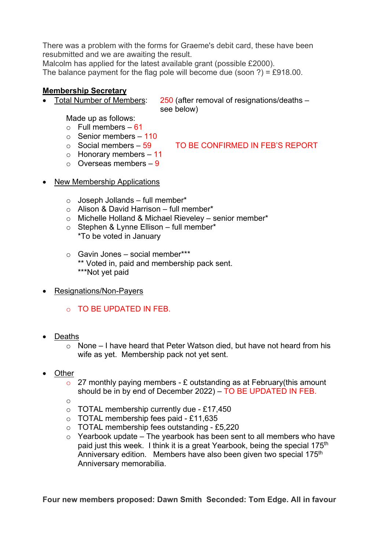There was a problem with the forms for Graeme's debit card, these have been resubmitted and we are awaiting the result.

Malcolm has applied for the latest available grant (possible £2000).

The balance payment for the flag pole will become due (soon ?) = £918.00.

## **Membership Secretary**

• Total Number of Members: 250 (after removal of resignations/deaths – see below)

Made up as follows:

- $\circ$  Full members 61
- $\circ$  Senior members 110<br> $\circ$  Social members 59

TO BE CONFIRMED IN FEB'S REPORT

- $\circ$  Honorary members 11
- $\circ$  Overseas members 9
- New Membership Applications
	- $\circ$  Joseph Jollands full member\*
	- o Alison & David Harrison full member\*
	- o Michelle Holland & Michael Rieveley senior member\*
	- $\circ$  Stephen & Lynne Ellison full member\* \*To be voted in January
	- o Gavin Jones social member\*\*\* \*\* Voted in, paid and membership pack sent. \*\*\*Not yet paid
- Resignations/Non-Payers
	- o TO BE UPDATED IN FEB.
- Deaths
	- $\circ$  None I have heard that Peter Watson died, but have not heard from his wife as yet. Membership pack not yet sent.
- **Other** 
	- $\circ$  27 monthly paying members £ outstanding as at February(this amount should be in by end of December 2022) – TO BE UPDATED IN FEB.
	- o
	- $\circ$  TOTAL membership currently due £17,450
	- o TOTAL membership fees paid £11,635
	- o TOTAL membership fees outstanding £5,220
	- $\circ$  Yearbook update The yearbook has been sent to all members who have paid just this week. I think it is a great Yearbook, being the special 175<sup>th</sup> Anniversary edition. Members have also been given two special 175<sup>th</sup> Anniversary memorabilia.

**Four new members proposed: Dawn Smith Seconded: Tom Edge. All in favour**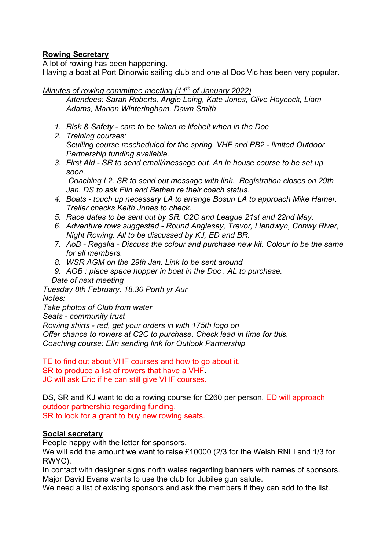## **Rowing Secretary**

A lot of rowing has been happening.

Having a boat at Port Dinorwic sailing club and one at Doc Vic has been very popular.

*Minutes of rowing committee meeting (11th of January 2022)*

*Attendees: Sarah Roberts, Angie Laing, Kate Jones, Clive Haycock, Liam Adams, Marion Winteringham, Dawn Smith*

- *1. Risk & Safety care to be taken re lifebelt when in the Doc*
- *2. Training courses: Sculling course rescheduled for the spring. VHF and PB2 - limited Outdoor Partnership funding available.*
- *3. First Aid SR to send email/message out. An in house course to be set up soon.*

*Coaching L2. SR to send out message with link. Registration closes on 29th Jan. DS to ask Elin and Bethan re their coach status.*

- *4. Boats touch up necessary LA to arrange Bosun LA to approach Mike Hamer. Trailer checks Keith Jones to check.*
- *5. Race dates to be sent out by SR. C2C and League 21st and 22nd May.*
- *6. Adventure rows suggested Round Anglesey, Trevor, Llandwyn, Conwy River, Night Rowing. All to be discussed by KJ, ED and BR.*
- *7. AoB Regalia Discuss the colour and purchase new kit. Colour to be the same for all members.*
- *8. WSR AGM on the 29th Jan. Link to be sent around*
- *9. AOB : place space hopper in boat in the Doc . AL to purchase. Date of next meeting*

*Tuesday 8th February. 18.30 Porth yr Aur*

*Notes:*

*Take photos of Club from water Seats - community trust Rowing shirts - red, get your orders in with 175th logo on Offer chance to rowers at C2C to purchase. Check lead in time for this. Coaching course: Elin sending link for Outlook Partnership*

TE to find out about VHF courses and how to go about it. SR to produce a list of rowers that have a VHF. JC will ask Eric if he can still give VHF courses.

DS, SR and KJ want to do a rowing course for £260 per person. ED will approach outdoor partnership regarding funding. SR to look for a grant to buy new rowing seats.

## **Social secretary**

People happy with the letter for sponsors.

We will add the amount we want to raise £10000 (2/3 for the Welsh RNLI and 1/3 for RWYC).

In contact with designer signs north wales regarding banners with names of sponsors. Major David Evans wants to use the club for Jubilee gun salute.

We need a list of existing sponsors and ask the members if they can add to the list.